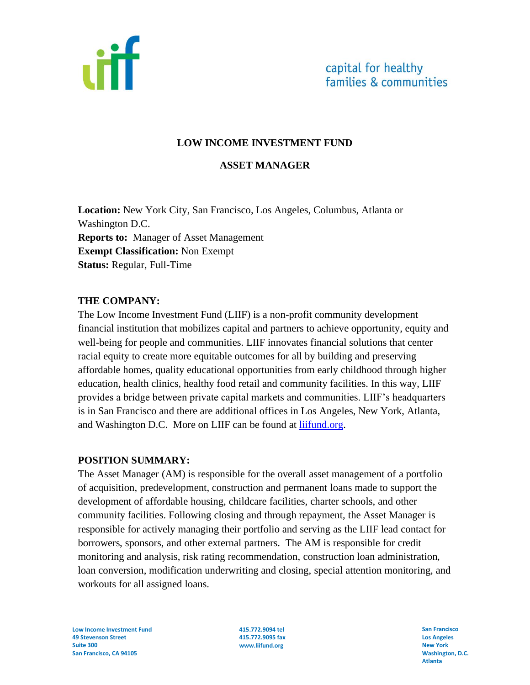

### **LOW INCOME INVESTMENT FUND**

#### **ASSET MANAGER**

**Location:** New York City, San Francisco, Los Angeles, Columbus, Atlanta or Washington D.C. **Reports to:** Manager of Asset Management **Exempt Classification:** Non Exempt **Status:** Regular, Full-Time

#### **THE COMPANY:**

The Low Income Investment Fund (LIIF) is a non-profit community development financial institution that mobilizes capital and partners to achieve opportunity, equity and well-being for people and communities. LIIF innovates financial solutions that center racial equity to create more equitable outcomes for all by building and preserving affordable homes, quality educational opportunities from early childhood through higher education, health clinics, healthy food retail and community facilities. In this way, LIIF provides a bridge between private capital markets and communities. LIIF's headquarters is in San Francisco and there are additional offices in Los Angeles, New York, Atlanta, and Washington D.C. More on LIIF can be found at [liifund.org.](https://www.liifund.org/)

### **POSITION SUMMARY:**

The Asset Manager (AM) is responsible for the overall asset management of a portfolio of acquisition, predevelopment, construction and permanent loans made to support the development of affordable housing, childcare facilities, charter schools, and other community facilities. Following closing and through repayment, the Asset Manager is responsible for actively managing their portfolio and serving as the LIIF lead contact for borrowers, sponsors, and other external partners. The AM is responsible for credit monitoring and analysis, risk rating recommendation, construction loan administration, loan conversion, modification underwriting and closing, special attention monitoring, and workouts for all assigned loans.

**Low Income Investment Fund 49 Stevenson Street Suite 300 San Francisco, CA 94105**

**415.772.9094 tel 415.772.9095 fax www.liifund.org**

**San Francisco Los Angeles New York Washington, D.C. Atlanta**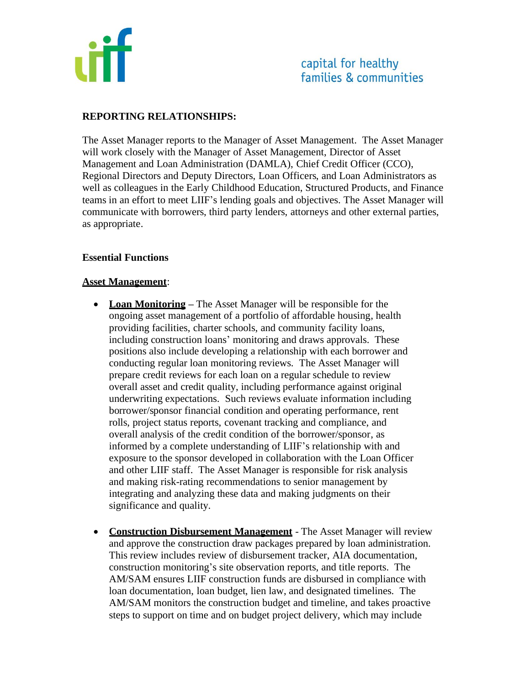

## **REPORTING RELATIONSHIPS:**

The Asset Manager reports to the Manager of Asset Management. The Asset Manager will work closely with the Manager of Asset Management, Director of Asset Management and Loan Administration (DAMLA), Chief Credit Officer (CCO), Regional Directors and Deputy Directors, Loan Officers, and Loan Administrators as well as colleagues in the Early Childhood Education, Structured Products, and Finance teams in an effort to meet LIIF's lending goals and objectives. The Asset Manager will communicate with borrowers, third party lenders, attorneys and other external parties, as appropriate.

### **Essential Functions**

### **Asset Management**:

- **Loan Monitoring** The Asset Manager will be responsible for the ongoing asset management of a portfolio of affordable housing, health providing facilities, charter schools, and community facility loans, including construction loans' monitoring and draws approvals. These positions also include developing a relationship with each borrower and conducting regular loan monitoring reviews. The Asset Manager will prepare credit reviews for each loan on a regular schedule to review overall asset and credit quality, including performance against original underwriting expectations. Such reviews evaluate information including borrower/sponsor financial condition and operating performance, rent rolls, project status reports, covenant tracking and compliance, and overall analysis of the credit condition of the borrower/sponsor, as informed by a complete understanding of LIIF's relationship with and exposure to the sponsor developed in collaboration with the Loan Officer and other LIIF staff. The Asset Manager is responsible for risk analysis and making risk-rating recommendations to senior management by integrating and analyzing these data and making judgments on their significance and quality.
- **Construction Disbursement Management** The Asset Manager will review and approve the construction draw packages prepared by loan administration. This review includes review of disbursement tracker, AIA documentation, construction monitoring's site observation reports, and title reports. The AM/SAM ensures LIIF construction funds are disbursed in compliance with loan documentation, loan budget, lien law, and designated timelines. The AM/SAM monitors the construction budget and timeline, and takes proactive steps to support on time and on budget project delivery, which may include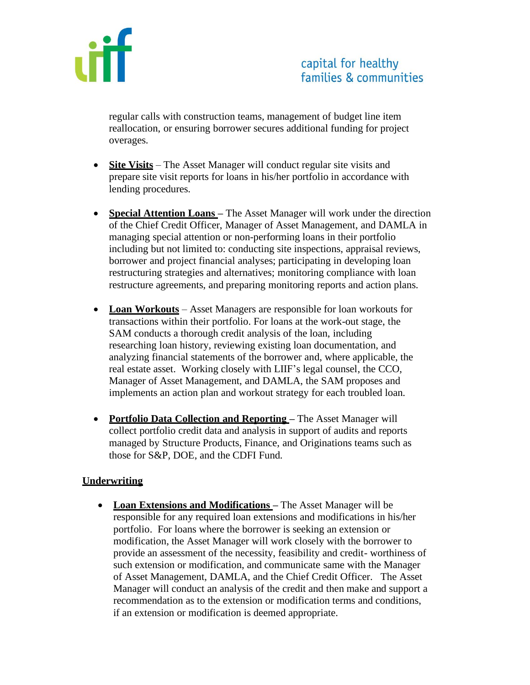

regular calls with construction teams, management of budget line item reallocation, or ensuring borrower secures additional funding for project overages.

- **Site Visits** The Asset Manager will conduct regular site visits and prepare site visit reports for loans in his/her portfolio in accordance with lending procedures.
- **Special Attention Loans –** The Asset Manager will work under the direction of the Chief Credit Officer, Manager of Asset Management, and DAMLA in managing special attention or non-performing loans in their portfolio including but not limited to: conducting site inspections, appraisal reviews, borrower and project financial analyses; participating in developing loan restructuring strategies and alternatives; monitoring compliance with loan restructure agreements, and preparing monitoring reports and action plans.
- **Loan Workouts** Asset Managers are responsible for loan workouts for transactions within their portfolio. For loans at the work-out stage, the SAM conducts a thorough credit analysis of the loan, including researching loan history, reviewing existing loan documentation, and analyzing financial statements of the borrower and, where applicable, the real estate asset. Working closely with LIIF's legal counsel, the CCO, Manager of Asset Management, and DAMLA, the SAM proposes and implements an action plan and workout strategy for each troubled loan.
- **Portfolio Data Collection and Reporting –** The Asset Manager will collect portfolio credit data and analysis in support of audits and reports managed by Structure Products, Finance, and Originations teams such as those for S&P, DOE, and the CDFI Fund.

## **Underwriting**

• **Loan Extensions and Modifications –** The Asset Manager will be responsible for any required loan extensions and modifications in his/her portfolio. For loans where the borrower is seeking an extension or modification, the Asset Manager will work closely with the borrower to provide an assessment of the necessity, feasibility and credit- worthiness of such extension or modification, and communicate same with the Manager of Asset Management, DAMLA, and the Chief Credit Officer. The Asset Manager will conduct an analysis of the credit and then make and support a recommendation as to the extension or modification terms and conditions, if an extension or modification is deemed appropriate.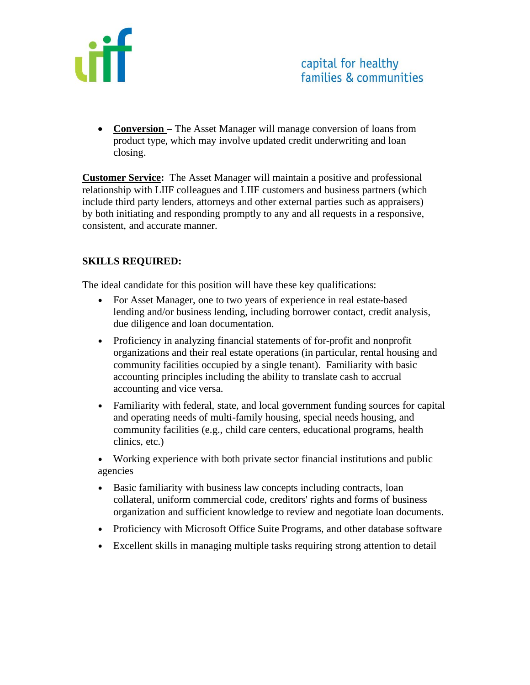

• **Conversion** – The Asset Manager will manage conversion of loans from product type, which may involve updated credit underwriting and loan closing.

**Customer Service:** The Asset Manager will maintain a positive and professional relationship with LIIF colleagues and LIIF customers and business partners (which include third party lenders, attorneys and other external parties such as appraisers) by both initiating and responding promptly to any and all requests in a responsive, consistent, and accurate manner.

# **SKILLS REQUIRED:**

The ideal candidate for this position will have these key qualifications:

- For Asset Manager, one to two years of experience in real estate-based lending and/or business lending, including borrower contact, credit analysis, due diligence and loan documentation.
- Proficiency in analyzing financial statements of for-profit and nonprofit organizations and their real estate operations (in particular, rental housing and community facilities occupied by a single tenant). Familiarity with basic accounting principles including the ability to translate cash to accrual accounting and vice versa.
- Familiarity with federal, state, and local government funding sources for capital and operating needs of multi-family housing, special needs housing, and community facilities (e.g., child care centers, educational programs, health clinics, etc.)
- Working experience with both private sector financial institutions and public agencies
- Basic familiarity with business law concepts including contracts, loan collateral, uniform commercial code, creditors' rights and forms of business organization and sufficient knowledge to review and negotiate loan documents.
- Proficiency with Microsoft Office Suite Programs, and other database software
- Excellent skills in managing multiple tasks requiring strong attention to detail